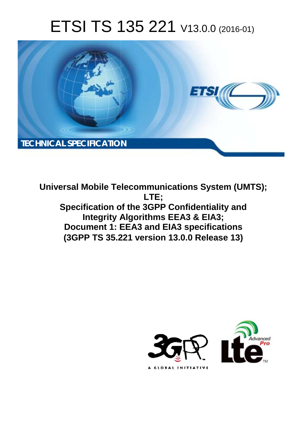# ETSI TS 135 221 V13.0.0 (2016-01)



**Universal Mobile Tel elecommunications System ( (UMTS); Specification of the 3GPP Confidentiality and Integrity Algorithms EEA3 & EIA3; Document 1: EEA3 and EIA3 specifications (3GPP TS 35.2 .221 version 13.0.0 Release 13 13) LTE;** 

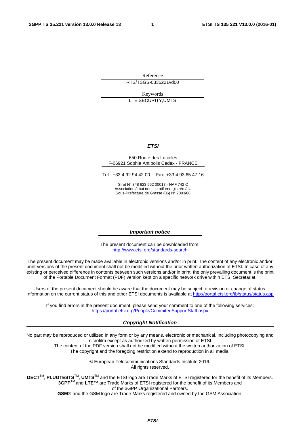Reference RTS/TSGS-0335221vd00

Keywords LTE,SECURITY,UMTS

#### *ETSI*

#### 650 Route des Lucioles F-06921 Sophia Antipolis Cedex - FRANCE

Tel.: +33 4 92 94 42 00 Fax: +33 4 93 65 47 16

Siret N° 348 623 562 00017 - NAF 742 C Association à but non lucratif enregistrée à la Sous-Préfecture de Grasse (06) N° 7803/88

#### *Important notice*

The present document can be downloaded from: <http://www.etsi.org/standards-search>

The present document may be made available in electronic versions and/or in print. The content of any electronic and/or print versions of the present document shall not be modified without the prior written authorization of ETSI. In case of any existing or perceived difference in contents between such versions and/or in print, the only prevailing document is the print of the Portable Document Format (PDF) version kept on a specific network drive within ETSI Secretariat.

Users of the present document should be aware that the document may be subject to revision or change of status. Information on the current status of this and other ETSI documents is available at <http://portal.etsi.org/tb/status/status.asp>

If you find errors in the present document, please send your comment to one of the following services: <https://portal.etsi.org/People/CommiteeSupportStaff.aspx>

#### *Copyright Notification*

No part may be reproduced or utilized in any form or by any means, electronic or mechanical, including photocopying and microfilm except as authorized by written permission of ETSI.

The content of the PDF version shall not be modified without the written authorization of ETSI.

The copyright and the foregoing restriction extend to reproduction in all media.

© European Telecommunications Standards Institute 2016. All rights reserved.

**DECT**TM, **PLUGTESTS**TM, **UMTS**TM and the ETSI logo are Trade Marks of ETSI registered for the benefit of its Members. **3GPP**TM and **LTE**™ are Trade Marks of ETSI registered for the benefit of its Members and of the 3GPP Organizational Partners.

**GSM**® and the GSM logo are Trade Marks registered and owned by the GSM Association.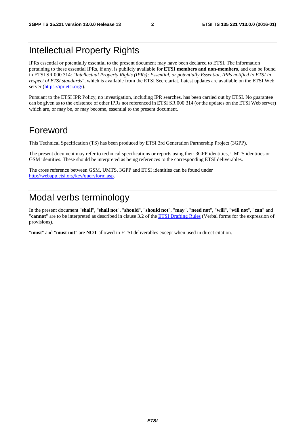# Intellectual Property Rights

IPRs essential or potentially essential to the present document may have been declared to ETSI. The information pertaining to these essential IPRs, if any, is publicly available for **ETSI members and non-members**, and can be found in ETSI SR 000 314: *"Intellectual Property Rights (IPRs); Essential, or potentially Essential, IPRs notified to ETSI in respect of ETSI standards"*, which is available from the ETSI Secretariat. Latest updates are available on the ETSI Web server [\(https://ipr.etsi.org/](https://ipr.etsi.org/)).

Pursuant to the ETSI IPR Policy, no investigation, including IPR searches, has been carried out by ETSI. No guarantee can be given as to the existence of other IPRs not referenced in ETSI SR 000 314 (or the updates on the ETSI Web server) which are, or may be, or may become, essential to the present document.

### Foreword

This Technical Specification (TS) has been produced by ETSI 3rd Generation Partnership Project (3GPP).

The present document may refer to technical specifications or reports using their 3GPP identities, UMTS identities or GSM identities. These should be interpreted as being references to the corresponding ETSI deliverables.

The cross reference between GSM, UMTS, 3GPP and ETSI identities can be found under [http://webapp.etsi.org/key/queryform.asp.](http://webapp.etsi.org/key/queryform.asp)

# Modal verbs terminology

In the present document "**shall**", "**shall not**", "**should**", "**should not**", "**may**", "**need not**", "**will**", "**will not**", "**can**" and "**cannot**" are to be interpreted as described in clause 3.2 of the [ETSI Drafting Rules](http://portal.etsi.org/Help/editHelp!/Howtostart/ETSIDraftingRules.aspx) (Verbal forms for the expression of provisions).

"**must**" and "**must not**" are **NOT** allowed in ETSI deliverables except when used in direct citation.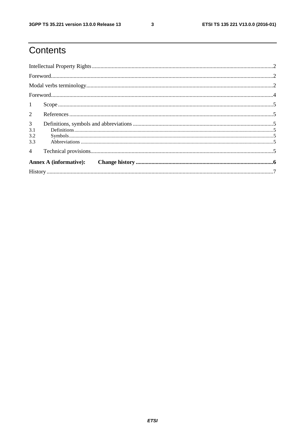$\mathbf{3}$ 

# Contents

| 1                                   |                               |  |  |  |  |  |
|-------------------------------------|-------------------------------|--|--|--|--|--|
| $\overline{2}$                      |                               |  |  |  |  |  |
| $\mathfrak{Z}$<br>3.1<br>3.2<br>3.3 |                               |  |  |  |  |  |
| $\overline{4}$                      |                               |  |  |  |  |  |
|                                     | <b>Annex A (informative):</b> |  |  |  |  |  |
|                                     |                               |  |  |  |  |  |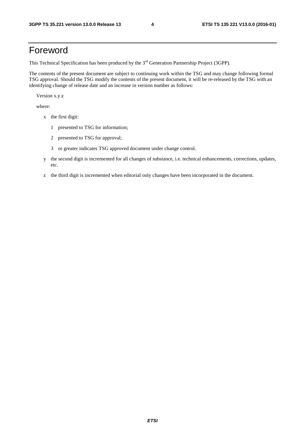# Foreword

This Technical Specification has been produced by the 3<sup>rd</sup> Generation Partnership Project (3GPP).

The contents of the present document are subject to continuing work within the TSG and may change following formal TSG approval. Should the TSG modify the contents of the present document, it will be re-released by the TSG with an identifying change of release date and an increase in version number as follows:

Version x.y.z

where:

- x the first digit:
	- 1 presented to TSG for information;
	- 2 presented to TSG for approval;
	- 3 or greater indicates TSG approved document under change control.
- y the second digit is incremented for all changes of substance, i.e. technical enhancements, corrections, updates, etc.
- z the third digit is incremented when editorial only changes have been incorporated in the document.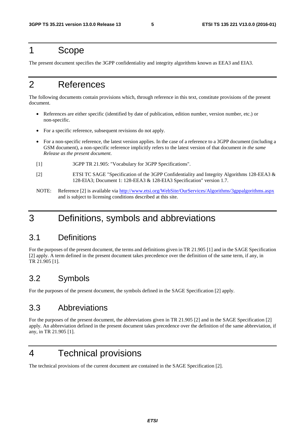### 1 Scope

The present document specifies the 3GPP confidentiality and integrity algorithms known as EEA3 and EIA3.

# 2 References

The following documents contain provisions which, through reference in this text, constitute provisions of the present document.

- References are either specific (identified by date of publication, edition number, version number, etc.) or non-specific.
- For a specific reference, subsequent revisions do not apply.
- For a non-specific reference, the latest version applies. In the case of a reference to a 3GPP document (including a GSM document), a non-specific reference implicitly refers to the latest version of that document *in the same Release as the present document*.
- [1] 3GPP TR 21.905: "Vocabulary for 3GPP Specifications".
- [2] ETSI TC SAGE "Specification of the 3GPP Confidentiality and Integrity Algorithms 128-EEA3 & 128-EIA3; Document 1: 128-EEA3 & 128-EIA3 Specification" version 1.7.
- NOTE: Reference [2] is available via <http://www.etsi.org/WebSite/OurServices/Algorithms/3gppalgorithms.aspx> and is subject to licensing conditions described at this site.

# 3 Definitions, symbols and abbreviations

### 3.1 Definitions

For the purposes of the present document, the terms and definitions given in TR 21.905 [1] and in the SAGE Specification [2] apply. A term defined in the present document takes precedence over the definition of the same term, if any, in TR 21.905 [1].

### 3.2 Symbols

For the purposes of the present document, the symbols defined in the SAGE Specification [2] apply.

### 3.3 Abbreviations

For the purposes of the present document, the abbreviations given in TR 21.905 [2] and in the SAGE Specification [2] apply. An abbreviation defined in the present document takes precedence over the definition of the same abbreviation, if any, in TR 21.905 [1].

# 4 Technical provisions

The technical provisions of the current document are contained in the SAGE Specification [2].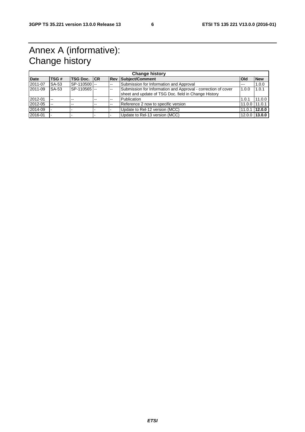# Annex A (informative): Change history

| <b>Change history</b> |       |                     |    |     |                                                                                                                       |               |               |  |  |
|-----------------------|-------|---------------------|----|-----|-----------------------------------------------------------------------------------------------------------------------|---------------|---------------|--|--|
| <b>Date</b>           | TSG#  | <b>TSG Doc.</b> ICR |    |     | <b>Rev Subject/Comment</b>                                                                                            | <b>Old</b>    | <b>New</b>    |  |  |
| 2011-07               | SA-53 | SP-110500           |    | $-$ | Submission for Information and Approval                                                                               | $- - -$       | 1.0.0         |  |  |
| 2011-09               | SA-53 | SP-110565           |    | --  | Submission for Information and Approval - correction of cover<br>sheet and update of TSG Doc. field in Change History | 1.0.0         | 1.0.1         |  |  |
| 2012-01               | $-$   | $-$                 | -- | --  | Publication                                                                                                           | 1.0.1         | 11.0.0        |  |  |
| 2012-05               | $-$   | $-$                 | -- | --  | Reference 2 now to specific version                                                                                   | 11.0.0 11.0.1 |               |  |  |
| 2014-09               |       |                     |    |     | Update to Rel-12 version (MCC)                                                                                        | 11.0.1        | 12.0.0        |  |  |
| 2016-01               |       |                     |    |     | Update to Rel-13 version (MCC)                                                                                        |               | 12.0.0 13.0.0 |  |  |